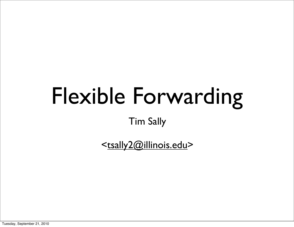## Flexible Forwarding

Tim Sally

[<tsally2@illinois.edu>](mailto:tsally2@illinois.edu)

Tuesday, September 21, 2010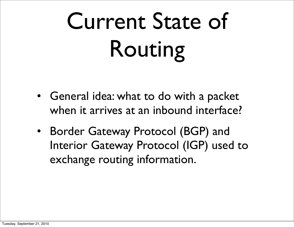# Current State of Routing

- General idea: what to do with a packet when it arrives at an inbound interface?
- Border Gateway Protocol (BGP) and Interior Gateway Protocol (IGP) used to exchange routing information.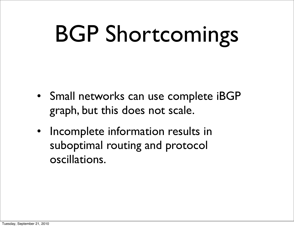## BGP Shortcomings

- Small networks can use complete iBGP graph, but this does not scale.
- Incomplete information results in suboptimal routing and protocol oscillations.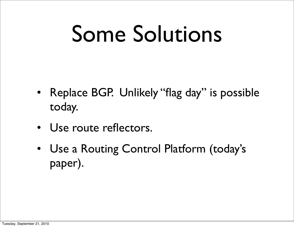## Some Solutions

- Replace BGP. Unlikely "flag day" is possible today.
- Use route reflectors.
- Use a Routing Control Platform (today's paper).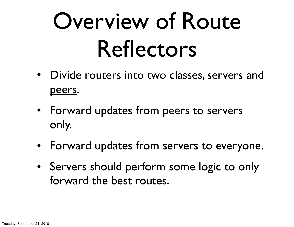## Overview of Route Reflectors

- Divide routers into two classes, servers and peers.
- Forward updates from peers to servers only.
- Forward updates from servers to everyone.
- Servers should perform some logic to only forward the best routes.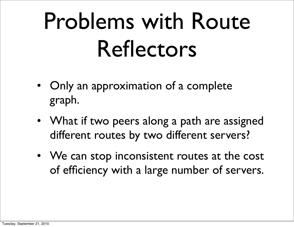## Problems with Route Reflectors

- Only an approximation of a complete graph.
- What if two peers along a path are assigned different routes by two different servers?
- We can stop inconsistent routes at the cost of efficiency with a large number of servers.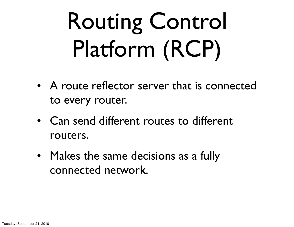# Routing Control Platform (RCP)

- A route reflector server that is connected to every router.
- Can send different routes to different routers.
- Makes the same decisions as a fully connected network.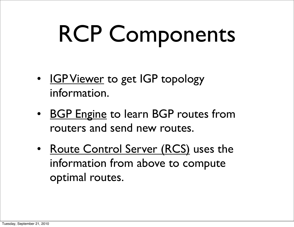# RCP Components

- IGP Viewer to get IGP topology information.
- BGP Engine to learn BGP routes from routers and send new routes.
- Route Control Server (RCS) uses the information from above to compute optimal routes.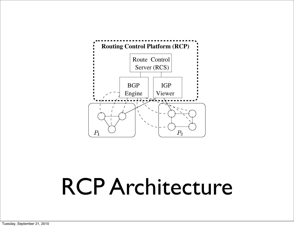

**3.1.1 IGP Viewer**

The RCP's *IGP Viewer* monitors the IGP topology and

provides this information to the RCS. The IGP Viewer

establishes IGP adjacencies to receive the IGP's link-

state advertisements (LSAs). To ensure that the IGP

Viewer never routes data packets, the links between the

IGP Viewer and the routers should be configured with

large IGP weights to ensure that the IGP Viewer is not

an intermediate hop on any shortest path. Since IGPs

such as OSPF and IS-IS perform *reliable flooding* of

LSAs, the IGP Viewer maintains an up-to-date view of

the IGP topology as the link weights change of  $\mathcal{L}_\mathcal{F}$ 

ment goes up and down. Use of flooding to disseminate

LSAs implies that the IGP Viewer can receive LSAs from

all routers in a partition by simply having an adjacency to

a single router in that partition. This seemingly obvious

**Observation 1** *The IGP Viewer has the complete IGP*

property has an important implication:

#### jacencies (shown with solid lines) with solid lines) with solid lines) with one or more routers in the AS  $\sim$  $R$  $P$   $\Delta$  rohitootiiro RCP Architecture

as we describe in Section 3.2.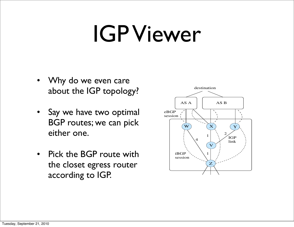### IGP Viewer

- Why do we even care about the IGP topology?
- Say we have two optimal BGP routes; we can pick either one.
- Pick the BGP route with the closet egress router according to IGP.



de la proposition de la proposition de la proposition de la proposition de la proposition de la proposition de<br>Desenvoltes de la proposition de la proposition de la proposition de la proposition de la proposition de la pr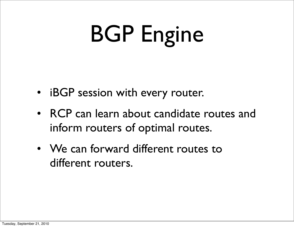## BGP Engine

- iBGP session with every router.
- RCP can learn about candidate routes and inform routers of optimal routes.
- We can forward different routes to different routers.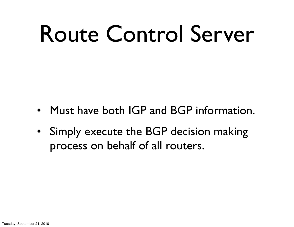## Route Control Server

- Must have both IGP and BGP information.
- Simply execute the BGP decision making process on behalf of all routers.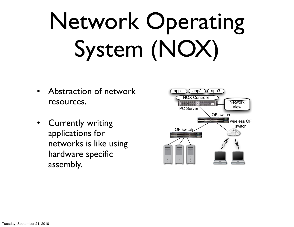# Network Operating System (NOX)

- Abstraction of network resources.
- Currently writing applications for networks is like using hardware specific assembly.



observation, NOX's network view includes the switch-level topology; the locations of users, hosts, middleboxes, and

other network elements; and the services (*e.g.*, HTTP or

NFS) being offered. The view includes all bindings between

names and addresses, but does *not* include the current state of network traffic. This choice of observation granularity

provides adequate information for many network manage-

ment tasks and changes slowly enough that it can be scalably

 $\overline{\phantom{a}}$ 

 $c_{\rm c}$ 

feasible to implement across any sizable network. At the

other extreme, operating at the granularity of prefix-based routing tables would not allow sufficient control, since all

packets between two hosts would have to follow the same

path. For NOX we chose an intermediate granularity: *flows*

 $\sim$  13]. That is, on some packet, subsequent packets with the same header are

the same way. With this flowwere able to build a system that can scale to large networks

Switch Abstraction Management applications control net-

work traffic by passing instructions to switches. These switches. These switches. These switches. These switches. These switches. The switchese switchese switchese switchese switchese switches. The switchese switchese swi

maintained in large networks.

while still providing flexible control.

called NOX (freely available at http://www.noxrepo.org/www.noxrepo.org)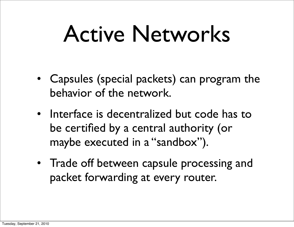## Active Networks

- Capsules (special packets) can program the behavior of the network.
- Interface is decentralized but code has to be certified by a central authority (or maybe executed in a "sandbox").
- Trade off between capsule processing and packet forwarding at every router.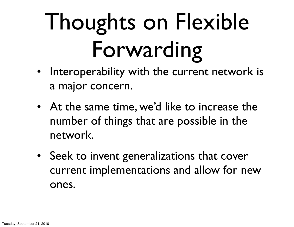# Thoughts on Flexible Forwarding

- Interoperability with the current network is a major concern.
- At the same time, we'd like to increase the number of things that are possible in the network.
- Seek to invent generalizations that cover current implementations and allow for new ones.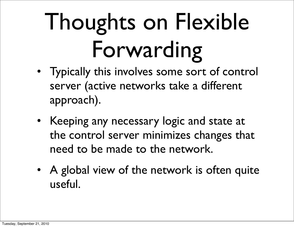# Thoughts on Flexible Forwarding

- Typically this involves some sort of control server (active networks take a different approach).
- Keeping any necessary logic and state at the control server minimizes changes that need to be made to the network.
- A global view of the network is often quite useful.